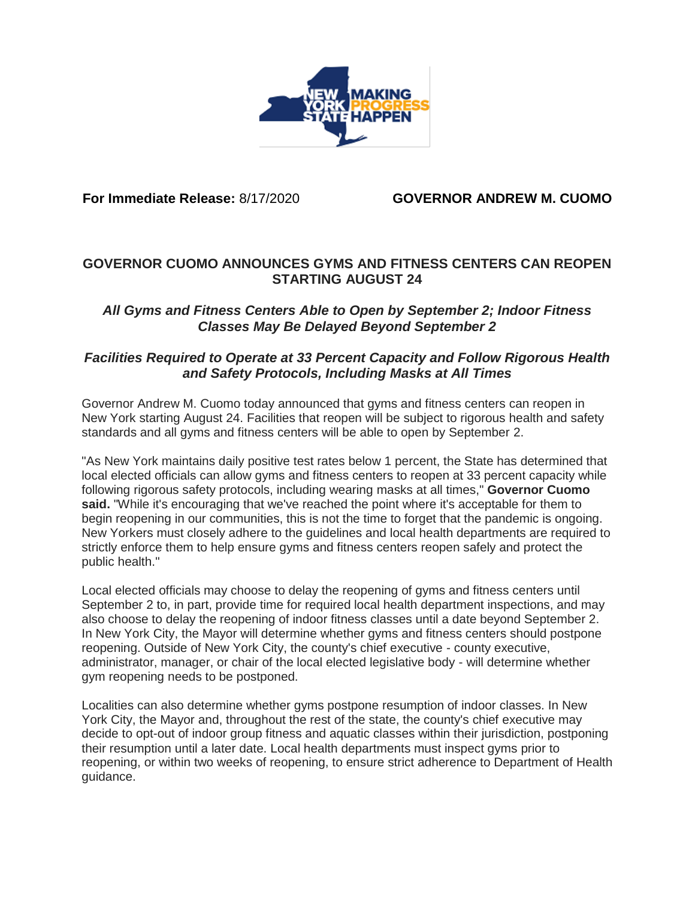

**For Immediate Release:** 8/17/2020 **GOVERNOR ANDREW M. CUOMO**

## **GOVERNOR CUOMO ANNOUNCES GYMS AND FITNESS CENTERS CAN REOPEN STARTING AUGUST 24**

## *All Gyms and Fitness Centers Able to Open by September 2; Indoor Fitness Classes May Be Delayed Beyond September 2*

## *Facilities Required to Operate at 33 Percent Capacity and Follow Rigorous Health and Safety Protocols, Including Masks at All Times*

Governor Andrew M. Cuomo today announced that gyms and fitness centers can reopen in New York starting August 24. Facilities that reopen will be subject to rigorous health and safety standards and all gyms and fitness centers will be able to open by September 2.

"As New York maintains daily positive test rates below 1 percent, the State has determined that local elected officials can allow gyms and fitness centers to reopen at 33 percent capacity while following rigorous safety protocols, including wearing masks at all times," **Governor Cuomo**  said. "While it's encouraging that we've reached the point where it's acceptable for them to begin reopening in our communities, this is not the time to forget that the pandemic is ongoing. New Yorkers must closely adhere to the guidelines and local health departments are required to strictly enforce them to help ensure gyms and fitness centers reopen safely and protect the public health."

Local elected officials may choose to delay the reopening of gyms and fitness centers until September 2 to, in part, provide time for required local health department inspections, and may also choose to delay the reopening of indoor fitness classes until a date beyond September 2. In New York City, the Mayor will determine whether gyms and fitness centers should postpone reopening. Outside of New York City, the county's chief executive - county executive, administrator, manager, or chair of the local elected legislative body - will determine whether gym reopening needs to be postponed.

Localities can also determine whether gyms postpone resumption of indoor classes. In New York City, the Mayor and, throughout the rest of the state, the county's chief executive may decide to opt-out of indoor group fitness and aquatic classes within their jurisdiction, postponing their resumption until a later date. Local health departments must inspect gyms prior to reopening, or within two weeks of reopening, to ensure strict adherence to Department of Health guidance.